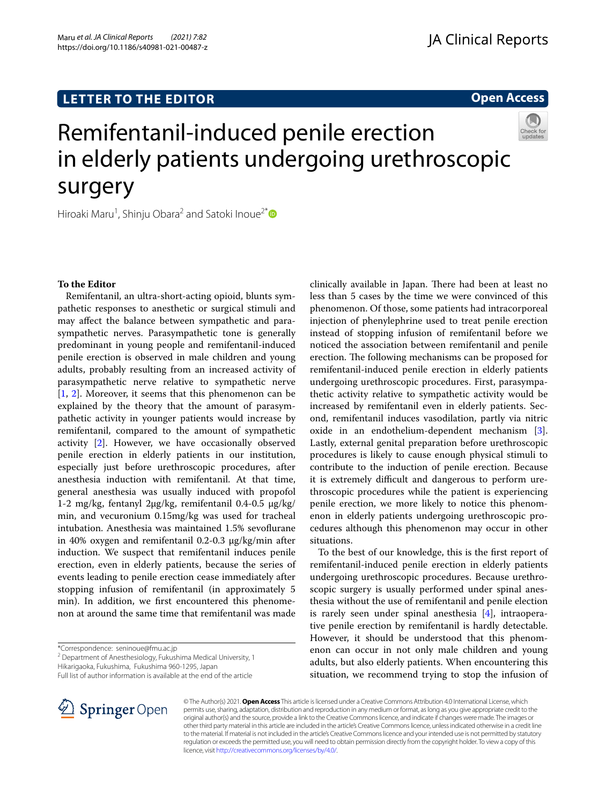# **LETTER TO THE EDITOR**

**Open Access**

# Remifentanil-induced penile erection in elderly patients undergoing urethroscopic surgery



Hiroaki Maru<sup>1</sup>, Shinju Obara<sup>2</sup> and Satoki Inoue<sup>2[\\*](http://orcid.org/0000-0001-8746-3152)</sup>

## **To the Editor**

Remifentanil, an ultra-short-acting opioid, blunts sympathetic responses to anesthetic or surgical stimuli and may afect the balance between sympathetic and parasympathetic nerves. Parasympathetic tone is generally predominant in young people and remifentanil-induced penile erection is observed in male children and young adults, probably resulting from an increased activity of parasympathetic nerve relative to sympathetic nerve [[1,](#page-1-0) [2](#page-1-1)]. Moreover, it seems that this phenomenon can be explained by the theory that the amount of parasympathetic activity in younger patients would increase by remifentanil, compared to the amount of sympathetic activity [\[2](#page-1-1)]. However, we have occasionally observed penile erection in elderly patients in our institution, especially just before urethroscopic procedures, after anesthesia induction with remifentanil. At that time, general anesthesia was usually induced with propofol 1-2 mg/kg, fentanyl 2μg/kg, remifentanil 0.4-0.5 μg/kg/ min, and vecuronium 0.15mg/kg was used for tracheal intubation. Anesthesia was maintained 1.5% sevofurane in 40% oxygen and remifentanil 0.2-0.3 μg/kg/min after induction. We suspect that remifentanil induces penile erection, even in elderly patients, because the series of events leading to penile erection cease immediately after stopping infusion of remifentanil (in approximately 5 min). In addition, we frst encountered this phenomenon at around the same time that remifentanil was made

<sup>2</sup> Department of Anesthesiology, Fukushima Medical University, 1

Hikarigaoka, Fukushima, Fukushima 960‑1295, Japan

Full list of author information is available at the end of the article

clinically available in Japan. There had been at least no less than 5 cases by the time we were convinced of this phenomenon. Of those, some patients had intracorporeal injection of phenylephrine used to treat penile erection instead of stopping infusion of remifentanil before we noticed the association between remifentanil and penile erection. The following mechanisms can be proposed for remifentanil-induced penile erection in elderly patients undergoing urethroscopic procedures. First, parasympathetic activity relative to sympathetic activity would be increased by remifentanil even in elderly patients. Second, remifentanil induces vasodilation, partly via nitric oxide in an endothelium-dependent mechanism [\[3](#page-1-2)]. Lastly, external genital preparation before urethroscopic procedures is likely to cause enough physical stimuli to contribute to the induction of penile erection. Because it is extremely difficult and dangerous to perform urethroscopic procedures while the patient is experiencing penile erection, we more likely to notice this phenomenon in elderly patients undergoing urethroscopic procedures although this phenomenon may occur in other situations.

To the best of our knowledge, this is the frst report of remifentanil-induced penile erection in elderly patients undergoing urethroscopic procedures. Because urethroscopic surgery is usually performed under spinal anesthesia without the use of remifentanil and penile election is rarely seen under spinal anesthesia [[4\]](#page-1-3), intraoperative penile erection by remifentanil is hardly detectable. However, it should be understood that this phenomenon can occur in not only male children and young adults, but also elderly patients. When encountering this situation, we recommend trying to stop the infusion of



© The Author(s) 2021. **Open Access** This article is licensed under a Creative Commons Attribution 4.0 International License, which permits use, sharing, adaptation, distribution and reproduction in any medium or format, as long as you give appropriate credit to the original author(s) and the source, provide a link to the Creative Commons licence, and indicate if changes were made. The images or other third party material in this article are included in the article's Creative Commons licence, unless indicated otherwise in a credit line to the material. If material is not included in the article's Creative Commons licence and your intended use is not permitted by statutory regulation or exceeds the permitted use, you will need to obtain permission directly from the copyright holder. To view a copy of this licence, visit [http://creativecommons.org/licenses/by/4.0/.](http://creativecommons.org/licenses/by/4.0/)

<sup>\*</sup>Correspondence: seninoue@fmu.ac.jp